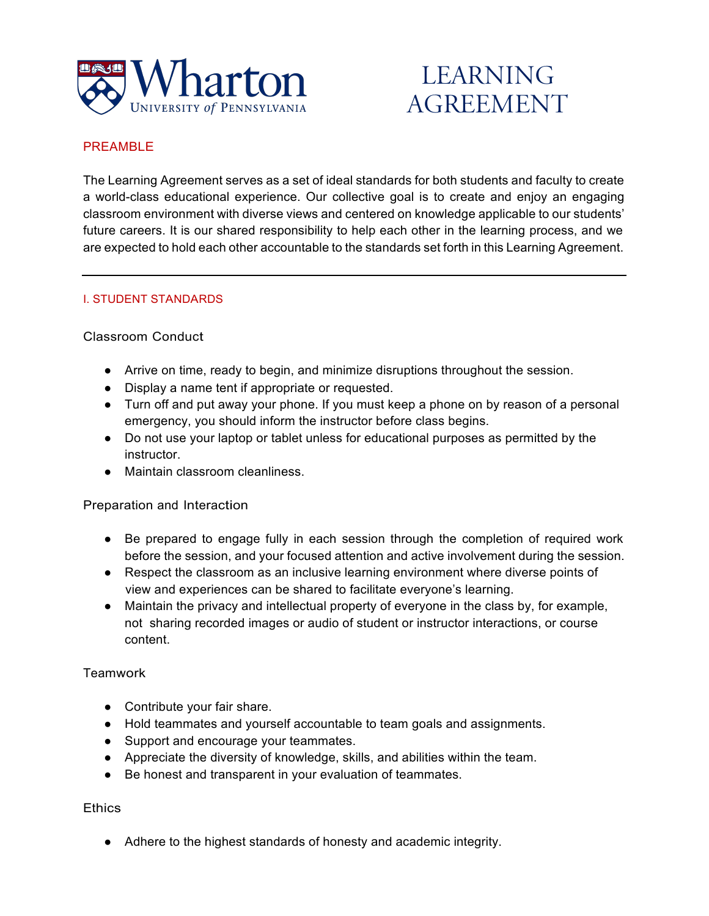

# **LEARNING AGREEMENT**

# PREAMBLE

The Learning Agreement serves as a set of ideal standards for both students and faculty to create a world-class educational experience. Our collective goal is to create and enjoy an engaging classroom environment with diverse views and centered on knowledge applicable to our students' future careers. It is our shared responsibility to help each other in the learning process, and we are expected to hold each other accountable to the standards set forth in this Learning Agreement.

## I. STUDENT STANDARDS

## Classroom Conduct

- Arrive on time, ready to begin, and minimize disruptions throughout the session.
- Display a name tent if appropriate or requested.
- Turn off and put away your phone. If you must keep a phone on by reason of a personal emergency, you should inform the instructor before class begins.
- Do not use your laptop or tablet unless for educational purposes as permitted by the instructor.
- Maintain classroom cleanliness.

#### Preparation and Interaction

- Be prepared to engage fully in each session through the completion of required work before the session, and your focused attention and active involvement during the session.
- Respect the classroom as an inclusive learning environment where diverse points of view and experiences can be shared to facilitate everyone's learning.
- Maintain the privacy and intellectual property of everyone in the class by, for example, not sharing recorded images or audio of student or instructor interactions, or course content.

#### Teamwork

- Contribute your fair share.
- Hold teammates and yourself accountable to team goals and assignments.
- Support and encourage your teammates.
- Appreciate the diversity of knowledge, skills, and abilities within the team.
- Be honest and transparent in your evaluation of teammates.

# **Ethics**

● Adhere to the highest standards of honesty and academic integrity.